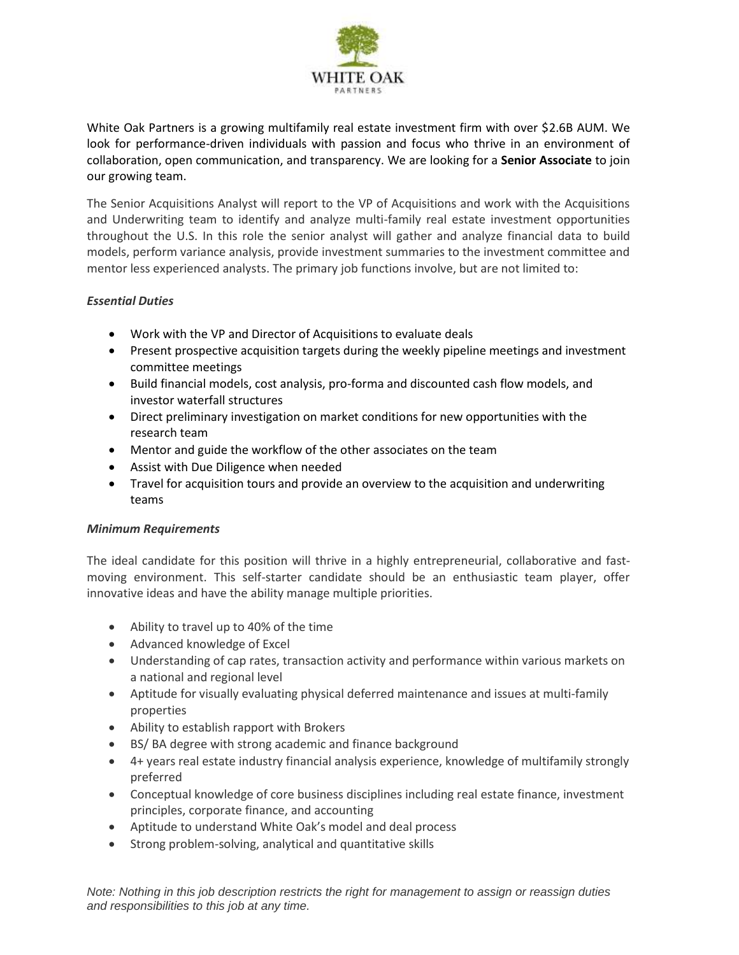

White Oak Partners is a growing multifamily real estate investment firm with over \$2.6B AUM. We look for performance-driven individuals with passion and focus who thrive in an environment of collaboration, open communication, and transparency. We are looking for a **Senior Associate** to join our growing team.

The Senior Acquisitions Analyst will report to the VP of Acquisitions and work with the Acquisitions and Underwriting team to identify and analyze multi-family real estate investment opportunities throughout the U.S. In this role the senior analyst will gather and analyze financial data to build models, perform variance analysis, provide investment summaries to the investment committee and mentor less experienced analysts. The primary job functions involve, but are not limited to:

## *Essential Duties*

- Work with the VP and Director of Acquisitions to evaluate deals
- Present prospective acquisition targets during the weekly pipeline meetings and investment committee meetings
- Build financial models, cost analysis, pro-forma and discounted cash flow models, and investor waterfall structures
- Direct preliminary investigation on market conditions for new opportunities with the research team
- Mentor and guide the workflow of the other associates on the team
- Assist with Due Diligence when needed
- Travel for acquisition tours and provide an overview to the acquisition and underwriting teams

## *Minimum Requirements*

The ideal candidate for this position will thrive in a highly entrepreneurial, collaborative and fastmoving environment. This self-starter candidate should be an enthusiastic team player, offer innovative ideas and have the ability manage multiple priorities.

- Ability to travel up to 40% of the time
- Advanced knowledge of Excel
- Understanding of cap rates, transaction activity and performance within various markets on a national and regional level
- Aptitude for visually evaluating physical deferred maintenance and issues at multi-family properties
- Ability to establish rapport with Brokers
- BS/ BA degree with strong academic and finance background
- 4+ years real estate industry financial analysis experience, knowledge of multifamily strongly preferred
- Conceptual knowledge of core business disciplines including real estate finance, investment principles, corporate finance, and accounting
- Aptitude to understand White Oak's model and deal process
- Strong problem-solving, analytical and quantitative skills

*Note: Nothing in this job description restricts the right for management to assign or reassign duties and responsibilities to this job at any time.*